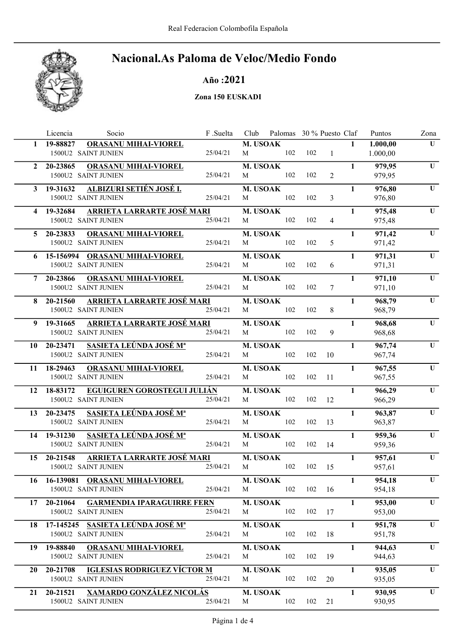

#### Año :2021

#### Zona 150 EUSKADI

|                | Licencia    | Socio                                                 |                                     | F .Suelta | Club                 | Palomas 30 % Puesto Claf |                  |                |              | Puntos           | Zona                    |
|----------------|-------------|-------------------------------------------------------|-------------------------------------|-----------|----------------------|--------------------------|------------------|----------------|--------------|------------------|-------------------------|
| $\mathbf{1}$   | 19-88827    | <b>ORASANU MIHAI-VIOREL</b>                           |                                     |           | M. USOAK             |                          |                  |                | $\mathbf{1}$ | 1.000,00         | U                       |
|                |             | 1500U2 SAINT JUNIEN                                   |                                     | 25/04/21  | M                    | 102                      | 102              | $\mathbf{1}$   |              | 1.000,00         |                         |
| $\overline{2}$ | 20-23865    | ORASANU MIHAI-VIOREL                                  |                                     |           | M. USOAK             |                          |                  |                | $\mathbf{1}$ | 979,95           | $\overline{\mathbf{U}}$ |
|                |             | 1500U2 SAINT JUNIEN                                   |                                     | 25/04/21  | M                    | 102                      | 102              | $\overline{2}$ |              | 979,95           |                         |
|                | 3 19-31632  | <u>ALBIZURI SETIÉN JOSÉ I.</u>                        |                                     |           | M. USOAK             |                          |                  |                | $\mathbf{1}$ | 976,80           | U                       |
|                |             | 1500U2 SAINT JUNIEN                                   |                                     | 25/04/21  | M                    | 102                      | 102              | 3              |              | 976,80           |                         |
|                | 4 19-32684  |                                                       | ARRIETA LARRARTE JOSÉ MARI          |           | <b>M. USOAK</b>      |                          |                  |                | $\mathbf{1}$ | 975,48           | U                       |
|                |             | 1500U2 SAINT JUNIEN                                   |                                     | 25/04/21  | M                    | 102                      | 102              | $\overline{4}$ |              | 975,48           |                         |
| 5.             | 20-23833    | <b>ORASANU MIHAI-VIOREL</b>                           |                                     |           | M. USOAK             |                          |                  |                | $\mathbf{1}$ | 971,42           | U                       |
|                |             | 1500U2 SAINT JUNIEN                                   |                                     | 25/04/21  | M                    | 102                      | 102              | 5              |              | 971,42           |                         |
|                |             |                                                       |                                     |           |                      |                          |                  |                | $\mathbf{1}$ |                  | U                       |
| 6              |             | 15-156994 ORASANU MIHAI-VIOREL<br>1500U2 SAINT JUNIEN |                                     | 25/04/21  | M. USOAK<br>M        | 102                      | 102              | 6              |              | 971,31<br>971,31 |                         |
|                |             |                                                       |                                     |           |                      |                          |                  |                |              |                  |                         |
| 7              | 20-23866    | <b>ORASANU MIHAI-VIOREL</b>                           |                                     |           | M. USOAK             |                          |                  |                | $\mathbf{1}$ | 971,10           | $\mathbf U$             |
|                |             | 1500U2 SAINT JUNIEN                                   |                                     | 25/04/21  | M                    | 102                      | 102              | $\tau$         |              | 971,10           |                         |
| 8.             | 20-21560    |                                                       | <b>ARRIETA LARRARTE JOSÉ MARI</b>   |           | M. USOAK             |                          |                  |                | $\mathbf{1}$ | 968,79           | $\overline{U}$          |
|                |             | 1500U2 SAINT JUNIEN                                   |                                     | 25/04/21  | M                    | 102                      | 102              | 8              |              | 968,79           |                         |
| 9              | 19-31665    |                                                       | <b>ARRIETA LARRARTE JOSÉ MARI</b>   |           | M. USOAK             |                          |                  |                | $\mathbf{1}$ | 968,68           | $\mathbf U$             |
|                |             | 1500U2 SAINT JUNIEN                                   |                                     | 25/04/21  | M                    | 102                      | 102              | 9              |              | 968,68           |                         |
| 10             | 20-23471    | SASIETA LEÚNDA JOSÉ Mª                                |                                     |           | M. USOAK             |                          |                  |                | $\mathbf{1}$ | 967,74           | $\mathbf U$             |
|                |             | 1500U2 SAINT JUNIEN                                   |                                     | 25/04/21  | M                    | 102                      | 102              | 10             |              | 967,74           |                         |
|                | 11 18-29463 | <b>ORASANU MIHAI-VIOREL</b>                           |                                     |           | M. USOAK             |                          |                  |                | $\mathbf{1}$ | 967,55           | $\mathbf U$             |
|                |             | 1500U2 SAINT JUNIEN                                   |                                     | 25/04/21  | M                    | 102                      | 102              | 11             |              | 967,55           |                         |
| 12             | 18-83172    |                                                       | <b>EGUIGUREN GOROSTEGUI JULIÁN</b>  |           | M. USOAK             |                          |                  |                | $\mathbf{1}$ | 966,29           | $\mathbf U$             |
|                |             | 1500U2 SAINT JUNIEN                                   |                                     | 25/04/21  | M                    | 102                      | 102              | 12             |              | 966,29           |                         |
| 13             | 20-23475    | SASIETA LEÚNDA JOSÉ Mª                                |                                     |           | M. USOAK             |                          |                  |                | $\mathbf{1}$ | 963,87           | U                       |
|                |             | 1500U2 SAINT JUNIEN                                   |                                     | 25/04/21  | M                    | 102                      | 102              | 13             |              | 963,87           |                         |
| 14             | 19-31230    | <b>SASIETA LEÚNDA JOSÉ Mª</b>                         |                                     |           | M. USOAK             |                          |                  |                | $\mathbf{1}$ | 959,36           | U                       |
|                |             | 1500U2 SAINT JUNIEN                                   |                                     | 25/04/21  | М                    | 102                      | 102              | 14             |              | 959,36           |                         |
|                |             |                                                       |                                     |           |                      |                          |                  |                |              |                  |                         |
| 15             | 20-21548    | 1500U2 SAINT JUNIEN                                   | <u>ARRIETA LARRARTE JOSÉ MARI</u>   | 25/04/21  | <b>M. USOAK</b><br>M | 102                      | 102              | 15             | $\mathbf{1}$ | 957,61<br>957,61 | $\mathbf U$             |
|                |             |                                                       |                                     |           |                      |                          |                  |                |              |                  |                         |
|                |             | 16 16-139081 ORASANU MIHAI-VIOREL                     |                                     |           | <b>M. USOAK</b>      |                          |                  |                | $\mathbf{1}$ | 954,18           | U                       |
|                |             | 1500U2 SAINT JUNIEN                                   |                                     | 25/04/21  | M                    |                          | $102$ $102$ $16$ |                |              | 954,18           |                         |
|                | 17 20-21064 |                                                       | <b>GARMENDIA IPARAGUIRRE FERN</b>   |           | M. USOAK             |                          |                  |                | $\mathbf{1}$ | 953,00           | U                       |
|                |             | 1500U2 SAINT JUNIEN                                   |                                     | 25/04/21  | M                    | 102                      | 102              | 17             |              | 953,00           |                         |
| 18             |             | 17-145245 SASIETA LEÚNDA JOSÉ M <sup>ª</sup>          |                                     |           | M. USOAK             |                          |                  |                | $\mathbf{1}$ | 951,78           | U                       |
|                |             | 1500U2 SAINT JUNIEN                                   |                                     | 25/04/21  | M                    | 102                      | 102              | 18             |              | 951,78           |                         |
| 19             | 19-88840    | <b>ORASANU MIHAI-VIOREL</b>                           |                                     |           | M. USOAK             |                          |                  |                | $\mathbf{1}$ | 944,63           | U                       |
|                |             | 1500U2 SAINT JUNIEN                                   |                                     | 25/04/21  | M                    | 102                      | 102              | 19             |              | 944,63           |                         |
| 20             | 20-21708    |                                                       | <b>IGLESIAS RODRIGUEZ VÍCTOR M</b>  |           | M. USOAK             |                          |                  |                | $\mathbf{1}$ | 935,05           | U                       |
|                |             | 1500U2 SAINT JUNIEN                                   |                                     | 25/04/21  | M                    | 102                      | 102              | 20             |              | 935,05           |                         |
| 21             |             |                                                       | 20-21521 – XAMARDO GONZÁLEZ NICOLÁS |           | M. USOAK             |                          |                  |                | $\mathbf{1}$ | 930,95           | U                       |
|                |             | 1500U2 SAINT JUNIEN                                   |                                     | 25/04/21  | M                    | 102                      | 102              | 21             |              | 930,95           |                         |
|                |             |                                                       |                                     |           |                      |                          |                  |                |              |                  |                         |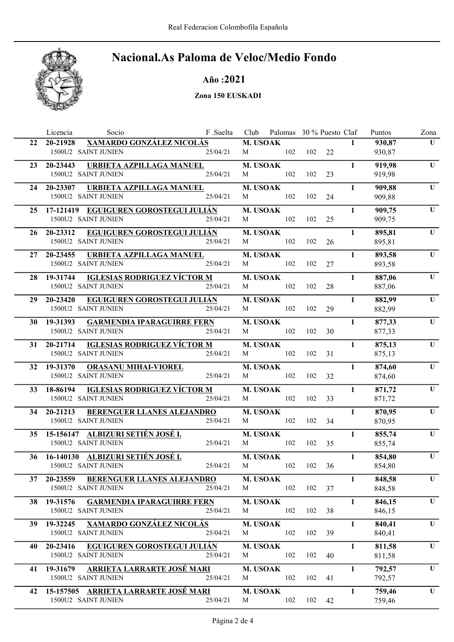

Año :2021

Zona 150 EUSKADI

|    | Socio<br>Licencia                                          | F .Suelta |                 | Club Palomas 30 % Puesto Claf |     |    |              | Puntos           | Zona        |
|----|------------------------------------------------------------|-----------|-----------------|-------------------------------|-----|----|--------------|------------------|-------------|
| 22 | <b>XAMARDO GONZÁLEZ NICOLÁS</b><br>20-21928                |           | M. USOAK        |                               |     |    | $\mathbf{1}$ | 930,87           | U           |
|    | 1500U2 SAINT JUNIEN                                        | 25/04/21  | M               | 102                           | 102 | 22 |              | 930,87           |             |
| 23 | URBIETA AZPILLAGA MANUEL<br>20-23443                       |           | <b>M. USOAK</b> |                               |     |    | $\mathbf{1}$ | 919,98           | U           |
|    | 1500U2 SAINT JUNIEN                                        | 25/04/21  | M               | 102                           | 102 | 23 |              | 919,98           |             |
| 24 | 20-23307<br>URBIETA AZPILLAGA MANUEL                       |           | <b>M. USOAK</b> |                               |     |    | $\mathbf{1}$ | 909,88           | U           |
|    | 1500U2 SAINT JUNIEN                                        | 25/04/21  | M               | 102                           | 102 | 24 |              | 909,88           |             |
|    | 25 17-121419 EGUIGUREN GOROSTEGUI JULIÁN                   |           | <b>M. USOAK</b> |                               |     |    | $\mathbf{1}$ | 909,75           | U           |
|    | 1500U2 SAINT JUNIEN                                        | 25/04/21  | M               | 102                           | 102 | 25 |              | 909,75           |             |
|    |                                                            |           |                 |                               |     |    |              |                  |             |
| 26 | <b>EGUIGUREN GOROSTEGUI JULIÁN</b><br>20-23312             |           | <b>M. USOAK</b> |                               |     |    | $\mathbf{1}$ | 895,81           | U           |
|    | 1500U2 SAINT JUNIEN                                        | 25/04/21  | M               | 102                           | 102 | 26 |              | 895,81           |             |
| 27 | URBIETA AZPILLAGA MANUEL<br>20-23455                       |           | <b>M. USOAK</b> |                               |     |    | $\mathbf{1}$ | 893,58           | U           |
|    | 1500U2 SAINT JUNIEN                                        | 25/04/21  | M               | 102                           | 102 | 27 |              | 893,58           |             |
| 28 | 19-31744 <b>IGLESIAS RODRIGUEZ VÍCTOR M</b>                |           | <b>M. USOAK</b> |                               |     |    | $\mathbf{1}$ | 887,06           | $\mathbf U$ |
|    | 1500U2 SAINT JUNIEN                                        | 25/04/21  | M               | 102                           | 102 | 28 |              | 887,06           |             |
| 29 | EGUIGUREN GOROSTEGUI JULIÁN<br>20-23420                    |           | M. USOAK        |                               |     |    | $\mathbf{1}$ | 882,99           | $\mathbf U$ |
|    | 1500U2 SAINT JUNIEN                                        | 25/04/21  | M               | 102                           | 102 | 29 |              | 882,99           |             |
| 30 | 19-31393<br><b>GARMENDIA IPARAGUIRRE FERN</b>              |           | <b>M. USOAK</b> |                               |     |    | $\mathbf{1}$ | 877,33           | $\mathbf U$ |
|    | 1500U2 SAINT JUNIEN                                        | 25/04/21  | M               | 102                           | 102 | 30 |              | 877,33           |             |
|    |                                                            |           |                 |                               |     |    |              |                  |             |
| 31 | <b>IGLESIAS RODRIGUEZ VÍCTOR M</b><br>20-21714             |           | M. USOAK        |                               |     |    | $\mathbf{1}$ | 875,13           | $\mathbf U$ |
|    | 1500U2 SAINT JUNIEN                                        | 25/04/21  | M               | 102                           | 102 | 31 |              | 875,13           |             |
|    | 32 19-31370<br><b>ORASANU MIHAI-VIOREL</b>                 |           | M. USOAK        |                               |     |    | $\mathbf{1}$ | 874,60           | U           |
|    | 1500U2 SAINT JUNIEN                                        | 25/04/21  | M               | 102                           | 102 | 32 |              | 874,60           |             |
| 33 | <b>IGLESIAS RODRIGUEZ VÍCTOR M</b><br>18-86194             |           | <b>M. USOAK</b> |                               |     |    | $\mathbf{1}$ | 871,72           | U           |
|    | 1500U2 SAINT JUNIEN                                        | 25/04/21  | M               | 102                           | 102 | 33 |              | 871,72           |             |
| 34 | 20-21213<br><b>BERENGUER LLANES ALEJANDRO</b>              |           | <b>M. USOAK</b> |                               |     |    | $\mathbf{1}$ | 870,95           | U           |
|    | 1500U2 SAINT JUNIEN                                        | 25/04/21  | M               | 102                           | 102 | 34 |              | 870,95           |             |
| 35 | 15-156147 ALBIZURI SETIÉN JOSÉ I.                          |           | M. USOAK        |                               |     |    | $\mathbf{1}$ | 855,74           | U           |
|    | 1500U2 SAINT JUNIEN                                        | 25/04/21  | М               | 102                           | 102 | 35 |              | 855,74           |             |
|    |                                                            |           |                 |                               |     |    |              |                  |             |
| 36 | 16-140130 ALBIZURI SETIÉN JOSÉ I.<br>1500U2 SAINT JUNIEN   | 25/04/21  | M. USOAK<br>M   | 102                           | 102 | 36 | $\mathbf{1}$ | 854,80<br>854,80 | U           |
|    |                                                            |           |                 |                               |     |    |              |                  |             |
|    | 37 20-23559 BERENGUER LLANES ALEJANDRO                     |           | <b>M. USOAK</b> |                               |     |    | $\mathbf{1}$ | 848,58           | U           |
|    | 1500U2 SAINT JUNIEN                                        | 25/04/21  | M               | 102                           | 102 | 37 |              | 848,58           |             |
| 38 | <b>GARMENDIA IPARAGUIRRE FERN</b><br>19-31576              |           | M. USOAK        |                               |     |    | $\mathbf{1}$ | 846,15           | U           |
|    | 1500U2 SAINT JUNIEN                                        | 25/04/21  | M               | 102                           | 102 | 38 |              | 846,15           |             |
| 39 | 19-32245 XAMARDO GONZÁLEZ NICOLÁS                          |           | M. USOAK        |                               |     |    | $\mathbf{1}$ | 840,41           | U           |
|    | 1500U2 SAINT JUNIEN                                        | 25/04/21  | M               | 102                           | 102 | 39 |              | 840,41           |             |
| 40 | 20-23416<br><b>EGUIGUREN GOROSTEGUI JULIÁN</b>             |           | M. USOAK        |                               |     |    | $\mathbf{1}$ | 811,58           | U           |
|    | 1500U2 SAINT JUNIEN                                        | 25/04/21  | M               | 102                           | 102 | 40 |              | 811,58           |             |
|    |                                                            |           |                 |                               |     |    |              |                  | U           |
| 41 | 19-31679 ARRIETA LARRARTE JOSÉ MARI<br>1500U2 SAINT JUNIEN | 25/04/21  | M. USOAK<br>M   | 102                           | 102 | 41 | $\mathbf{1}$ | 792,57<br>792,57 |             |
|    |                                                            |           |                 |                               |     |    |              |                  |             |
| 42 | 15-157505 ARRIETA LARRARTE JOSÉ MARI                       |           | M. USOAK        |                               |     |    | $\mathbf{1}$ | 759,46           | U           |
|    | 1500U2 SAINT JUNIEN                                        | 25/04/21  | M               | 102                           | 102 | 42 |              | 759,46           |             |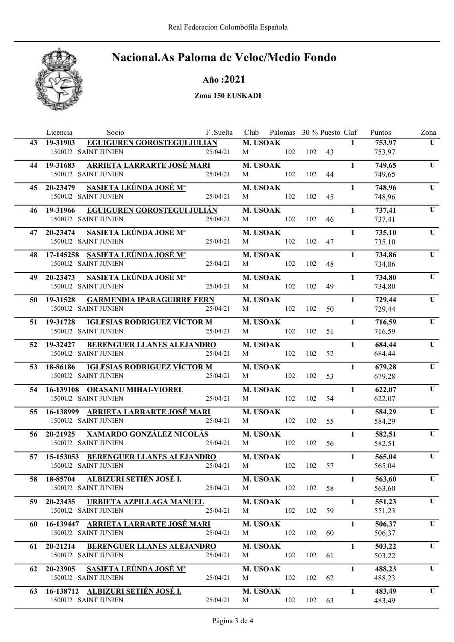

Año :2021

Zona 150 EUSKADI

|     | Licencia    | Socio                                                   | F .Suelta |                 | Club Palomas 30 % Puesto Claf |            |    |              | Puntos           | Zona        |
|-----|-------------|---------------------------------------------------------|-----------|-----------------|-------------------------------|------------|----|--------------|------------------|-------------|
| 43  | 19-31903    | EGUIGUREN GOROSTEGUI JULIÁN                             |           | M. USOAK        |                               |            |    | $\mathbf{1}$ | 753,97           | U           |
|     |             | 1500U2 SAINT JUNIEN                                     | 25/04/21  | M               | 102                           | 102        | 43 |              | 753,97           |             |
| 44  | 19-31683    | <b>ARRIETA LARRARTE JOSÉ MARI</b>                       |           | <b>M. USOAK</b> |                               |            |    | $\mathbf{1}$ | 749,65           | U           |
|     |             | 1500U2 SAINT JUNIEN                                     | 25/04/21  | M               | 102                           | 102        | 44 |              | 749,65           |             |
|     | 45 20-23479 | <b>SASIETA LEÚNDA JOSÉ Mª</b>                           |           | <b>M. USOAK</b> |                               |            |    | $\mathbf{1}$ | 748,96           | U           |
|     |             | 1500U2 SAINT JUNIEN                                     | 25/04/21  | M               | 102                           | 102        | 45 |              | 748,96           |             |
| 46  | 19-31966    | <b>EGUIGUREN GOROSTEGUI JULIÁN</b>                      |           | <b>M. USOAK</b> |                               |            |    | $\mathbf{1}$ | 737,41           | U           |
|     |             | 1500U2 SAINT JUNIEN                                     | 25/04/21  | M               | 102                           | 102        | 46 |              | 737,41           |             |
|     | 47 20-23474 | <u>SASIETA LEÚNDA JOSÉ Mª</u>                           |           | M. USOAK        |                               |            |    | $\mathbf{1}$ | 735,10           | U           |
|     |             | 1500U2 SAINT JUNIEN                                     | 25/04/21  | M               | 102                           | 102        | 47 |              | 735,10           |             |
|     |             |                                                         |           |                 |                               |            |    |              |                  |             |
| 48. |             | 17-145258 SASIETA LEÚNDA JOSÉ Mª<br>1500U2 SAINT JUNIEN | 25/04/21  | M. USOAK<br>M   | 102                           | 102        | 48 | $\mathbf{1}$ | 734,86<br>734,86 | U           |
|     |             |                                                         |           |                 |                               |            |    |              |                  |             |
| 49  | 20-23473    | <b>SASIETA LEÚNDA JOSÉ Mª</b>                           |           | M. USOAK        |                               |            |    | $\mathbf{1}$ | 734,80           | $\mathbf U$ |
|     |             | 1500U2 SAINT JUNIEN                                     | 25/04/21  | M               | 102                           | 102        | 49 |              | 734,80           |             |
| 50  | 19-31528    | <b>GARMENDIA IPARAGUIRRE FERN</b>                       |           | M. USOAK        |                               |            |    | $\mathbf{1}$ | 729,44           | $\mathbf U$ |
|     |             | 1500U2 SAINT JUNIEN                                     | 25/04/21  | M               | 102                           | 102        | 50 |              | 729,44           |             |
| 51  | 19-31728    | <u>IGLESIAS RODRIGUEZ VÍCTOR M</u>                      |           | <b>M. USOAK</b> |                               |            |    | $\mathbf{1}$ | 716,59           | $\mathbf U$ |
|     |             | 1500U2 SAINT JUNIEN                                     | 25/04/21  | M               | 102                           | 102        | 51 |              | 716,59           |             |
| 52  | 19-32427    | <b>BERENGUER LLANES ALEJANDRO</b>                       |           | M. USOAK        |                               |            |    | $\mathbf{1}$ | 684,44           | $\mathbf U$ |
|     |             | 1500U2 SAINT JUNIEN                                     | 25/04/21  | M               | 102                           | 102        | 52 |              | 684,44           |             |
| 53  | 18-86186    | <b>IGLESIAS RODRIGUEZ VÍCTOR M</b>                      |           | M. USOAK        |                               |            |    | $\mathbf{1}$ | 679,28           | U           |
|     |             | 1500U2 SAINT JUNIEN                                     | 25/04/21  | M               | 102                           | 102        | 53 |              | 679,28           |             |
| 54  |             | 16-139108 ORASANU MIHAI-VIOREL                          |           | M. USOAK        |                               |            |    | $\mathbf{1}$ | 622,07           | $\mathbf U$ |
|     |             | 1500U2 SAINT JUNIEN                                     | 25/04/21  | M               | 102                           | 102        | 54 |              | 622,07           |             |
| 55. |             | 16-138999     ARRIETA LARRARTE JOSÉ MARI                |           | <b>M. USOAK</b> |                               |            |    | $\mathbf{1}$ | 584,29           | U           |
|     |             | 1500U2 SAINT JUNIEN                                     | 25/04/21  | M               | 102                           | 102        | 55 |              | 584,29           |             |
|     |             |                                                         |           |                 |                               |            |    |              |                  |             |
| 56  | 20-21925    | <b>XAMARDO GONZÁLEZ NICOLÁS</b><br>1500U2 SAINT JUNIEN  | 25/04/21  | M. USOAK<br>M   | 102                           | 102        | 56 | $\mathbf{1}$ | 582,51           | U           |
|     |             |                                                         |           |                 |                               |            |    |              | 582,51           |             |
| 57  |             | 15-153053 BERENGUER LLANES ALEJANDRO                    |           | <b>M. USOAK</b> |                               |            |    | $\mathbf{1}$ | 565,04           | $\mathbf U$ |
|     |             | 1500U2 SAINT JUNIEN                                     | 25/04/21  | M               | 102                           | 102        | 57 |              | 565,04           |             |
|     |             | 58 18-85704 ALBIZURI SETIÉN JOSÉ I.                     |           |                 | <b>M. USOAK</b>               |            |    | $\mathbf{1}$ | 563,60           | U           |
|     |             | 1500U2 SAINT JUNIEN                                     | 25/04/21  | M               |                               | 102 102 58 |    |              | 563,60           |             |
| 59. |             | 20-23435 URBIETA AZPILLAGA MANUEL                       |           | <b>M. USOAK</b> |                               |            |    | $\mathbf{1}$ | 551,23           | U           |
|     |             | 1500U2 SAINT JUNIEN                                     | 25/04/21  | M               | 102                           | 102        | 59 |              | 551,23           |             |
| 60. |             | 16-139447 ARRIETA LARRARTE JOSÉ MARI                    |           | M. USOAK        |                               |            |    | $\mathbf{1}$ | 506,37           | U           |
|     |             | 1500U2 SAINT JUNIEN                                     | 25/04/21  | M               | 102                           | 102        | 60 |              | 506,37           |             |
|     | 61 20-21214 | <b>BERENGUER LLANES ALEJANDRO</b>                       |           | M. USOAK        |                               |            |    | $\mathbf{1}$ | 503,22           | U           |
|     |             | 1500U2 SAINT JUNIEN                                     | 25/04/21  | M               | 102                           | 102        | 61 |              | 503,22           |             |
|     |             | 62 20-23905 SASIETA LEÚNDA JOSÉ M <sup>a</sup>          |           | M. USOAK        |                               |            |    | $\mathbf{1}$ | 488,23           | U           |
|     |             | 1500U2 SAINT JUNIEN                                     | 25/04/21  | M               | 102                           | 102        | 62 |              | 488,23           |             |
|     |             |                                                         |           |                 |                               |            |    |              |                  |             |
| 63  |             | 16-138712 ALBIZURI SETIÉN JOSÉ I.                       |           | M. USOAK        |                               |            |    | $\mathbf{1}$ | 483,49           | U           |
|     |             | 1500U2 SAINT JUNIEN                                     | 25/04/21  | M               | 102                           | 102        | 63 |              | 483,49           |             |